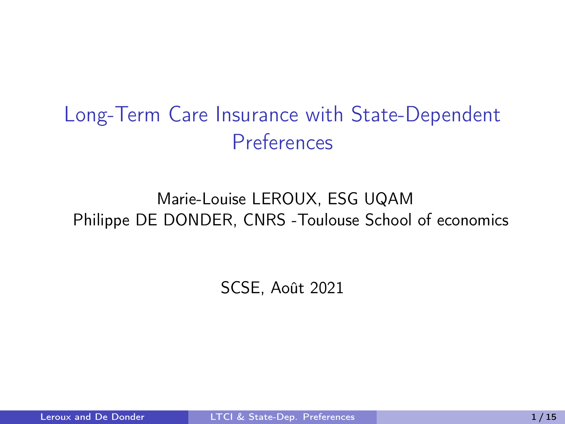### <span id="page-0-0"></span>Long-Term Care Insurance with State-Dependent Preferences

#### Marie-Louise LEROUX, ESG UQAM Philippe DE DONDER, CNRS -Toulouse School of economics

SCSE, Août 2021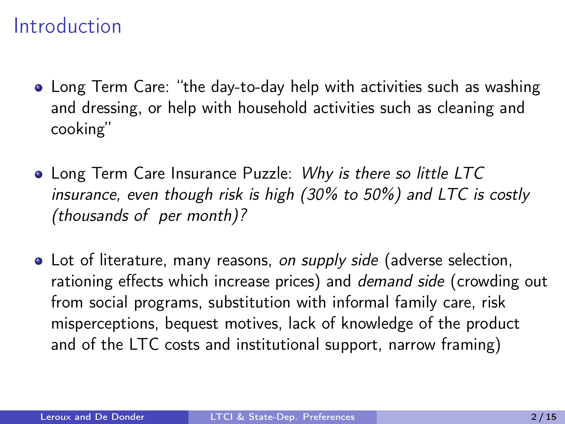#### Introduction

- Long Term Care: "the day-to-day help with activities such as washing and dressing, or help with household activities such as cleaning and cooking"
- Long Term Care Insurance Puzzle: Why is there so little LTC insurance, even though risk is high (30% to 50%) and LTC is costly (thousands of per month)?
- Lot of literature, many reasons, on supply side (adverse selection, rationing effects which increase prices) and demand side (crowding out from social programs, substitution with informal family care, risk misperceptions, bequest motives, lack of knowledge of the product and of the LTC costs and institutional support, narrow framing)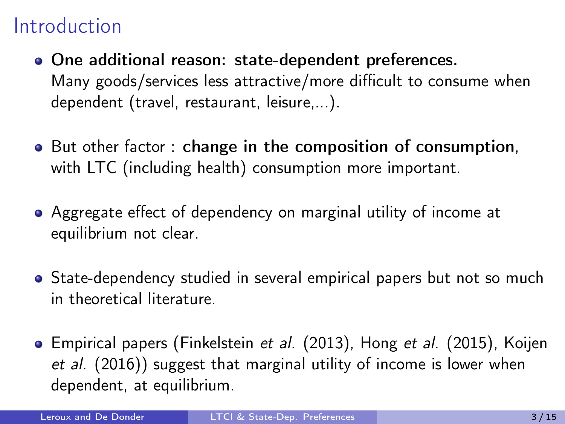### Introduction

- One additional reason: state-dependent preferences. Many goods/services less attractive/more difficult to consume when dependent (travel, restaurant, leisure,...).
- But other factor: change in the composition of consumption, with LTC (including health) consumption more important.
- Aggregate effect of dependency on marginal utility of income at equilibrium not clear.
- State-dependency studied in several empirical papers but not so much in theoretical literature.
- Empirical papers (Finkelstein et al. (2013), Hong et al. (2015), Koijen et al. (2016)) suggest that marginal utility of income is lower when dependent, at equilibrium.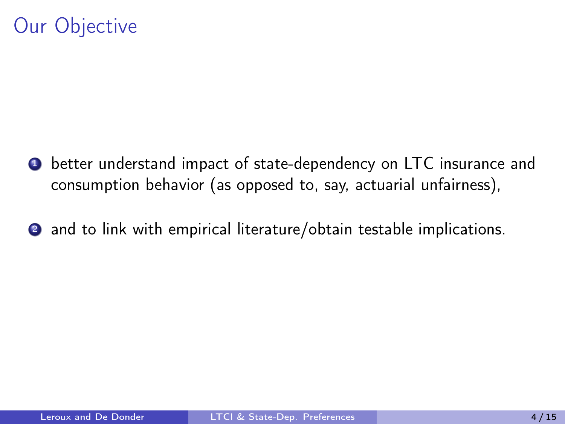### Our Objective

- **4** better understand impact of state-dependency on LTC insurance and consumption behavior (as opposed to, say, actuarial unfairness),
- 2 and to link with empirical literature/obtain testable implications.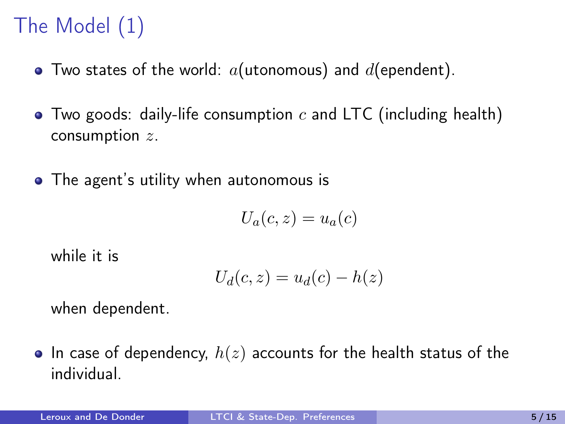# The Model (1)

- $\bullet$  Two states of the world:  $a$ (utonomous) and  $d$ (ependent).
- $\bullet$  Two goods: daily-life consumption c and LTC (including health) consumption z.
- The agent's utility when autonomous is

$$
U_a(c, z) = u_a(c)
$$

while it is

$$
U_d(c, z) = u_d(c) - h(z)
$$

when dependent.

• In case of dependency,  $h(z)$  accounts for the health status of the individual.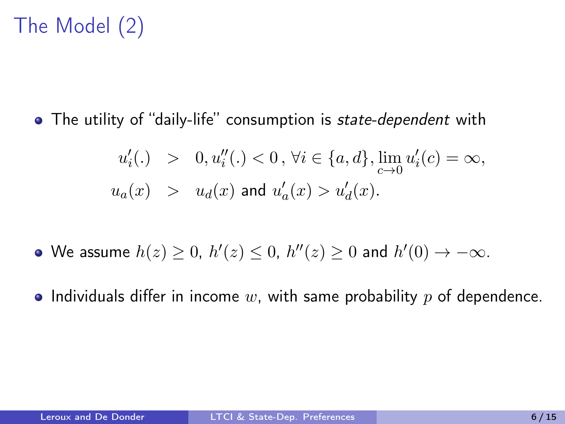## The Model (2)

• The utility of "daily-life" consumption is *state-dependent* with

$$
\begin{array}{lcl} u_i'(.) & > & 0, u_i''(.) < 0 \, , \, \forall i \in \{a,d\}, \lim\limits_{c \to 0} u_i'(c) = \infty, \\ u_a(x) & > & u_d(x) \, \text{ and } \, u_a'(x) > u_d'(x). \end{array}
$$

- We assume  $h(z) \geq 0$ ,  $h'(z) \leq 0$ ,  $h''(z) \geq 0$  and  $h'(0) \rightarrow -\infty$ .
- Individuals differ in income w, with same probability  $p$  of dependence.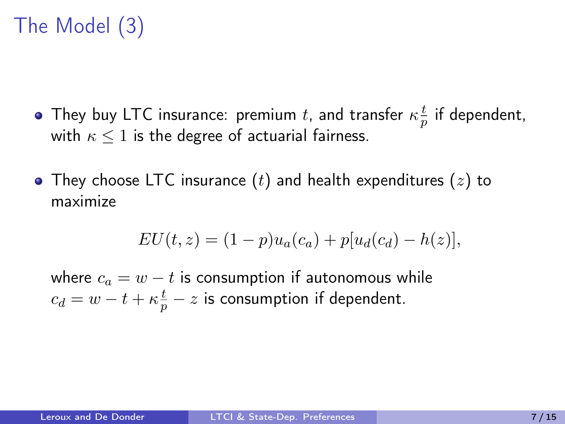# The Model (3)

- They buy LTC insurance: premium  $t$ , and transfer  $\kappa \frac{t}{n}$  $\frac{t}{p}$  if dependent, with  $\kappa \leq 1$  is the degree of actuarial fairness.
- They choose LTC insurance  $(t)$  and health expenditures  $(z)$  to maximize

$$
EU(t, z) = (1 - p)u_a(c_a) + p[u_d(c_d) - h(z)],
$$

where  $c_a = w - t$  is consumption if autonomous while  $c_d = w - t + \kappa \frac{t}{p} - z$  is consumption if dependent.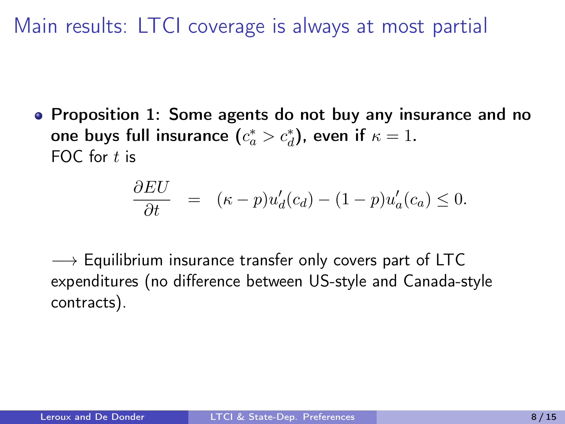Main results: LTCI coverage is always at most partial

• Proposition 1: Some agents do not buy any insurance and no one buys full insurance  $(c_a^* > c_d^*)$ , even if  $\kappa = 1$ . FOC for  $t$  is

$$
\frac{\partial EU}{\partial t} = (\kappa - p)u_d'(c_d) - (1 - p)u_a'(c_a) \leq 0.
$$

 $\rightarrow$  Equilibrium insurance transfer only covers part of LTC expenditures (no difference between US-style and Canada-style contracts).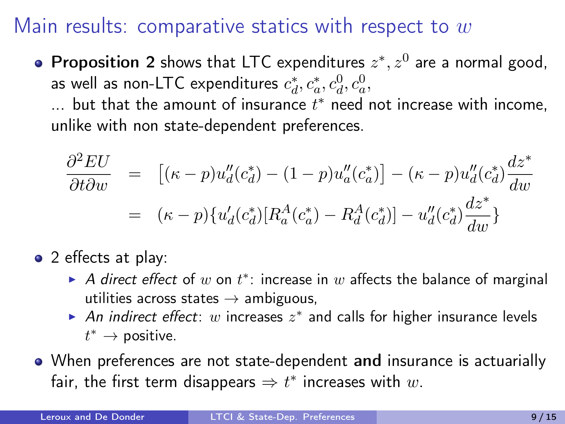#### Main results: comparative statics with respect to  $w$

**Proposition 2** shows that LTC expenditures  $z^*, z^0$  are a normal good, as well as non-LTC expenditures  $c_d^*, c_a^*, c_d^0, c_a^0$ ,

 $\dots$  but that the amount of insurance  $t^*$  need not increase with income, unlike with non state-dependent preferences.

$$
\frac{\partial^2 EU}{\partial t \partial w} = [(\kappa - p)u''_d(c_d^*) - (1 - p)u''_a(c_a^*)] - (\kappa - p)u''_d(c_d^*) \frac{dz^*}{dw} \n= (\kappa - p)\{u'_d(c_d^*)[R_a^A(c_a^*) - R_d^A(c_d^*)] - u''_d(c_d^*) \frac{dz^*}{dw}\}
$$

- 2 effects at play:
	- A direct effect of w on  $t^*$ : increase in w affects the balance of marginal utilities across states  $\rightarrow$  ambiguous,
	- An indirect effect: w increases  $z^*$  and calls for higher insurance levels  $t^* \to$  positive.
- When preferences are not state-dependent and insurance is actuarially fair, the first term disappears  $\Rightarrow t^*$  increases with  $w.$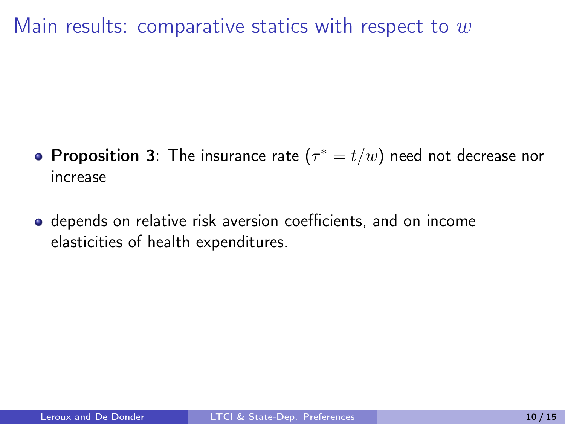Main results: comparative statics with respect to  $w$ 

- **Proposition 3**: The insurance rate  $(\tau^* = t/w)$  need not decrease nor increase
- depends on relative risk aversion coefficients, and on income elasticities of health expenditures.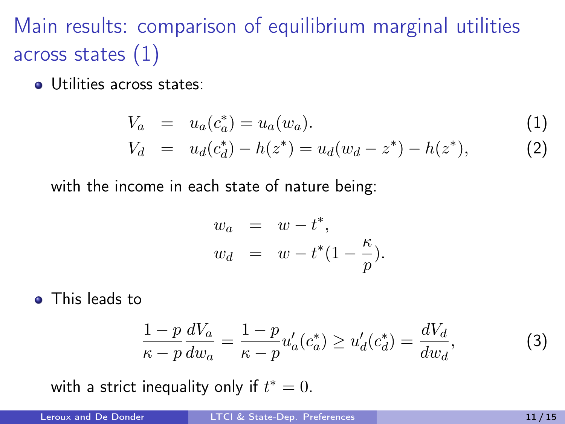# Main results: comparison of equilibrium marginal utilities across states (1)

**·** Utilities across states:

$$
V_a = u_a(c_a^*) = u_a(w_a).
$$
\n
$$
V_d = u_d(c_d^*) - h(z^*) = u_d(w_d - z^*) - h(z^*),
$$
\n(1)

with the income in each state of nature being:

$$
w_a = w - t^*,
$$
  
\n
$$
w_d = w - t^*(1 - \frac{\kappa}{p}).
$$

• This leads to

$$
\frac{1-p}{\kappa-p} \frac{dV_a}{dw_a} = \frac{1-p}{\kappa-p} u'_a(c_a^*) \ge u'_d(c_d^*) = \frac{dV_d}{dw_d},
$$
(3)

with a strict inequality only if  $t^* = 0$ .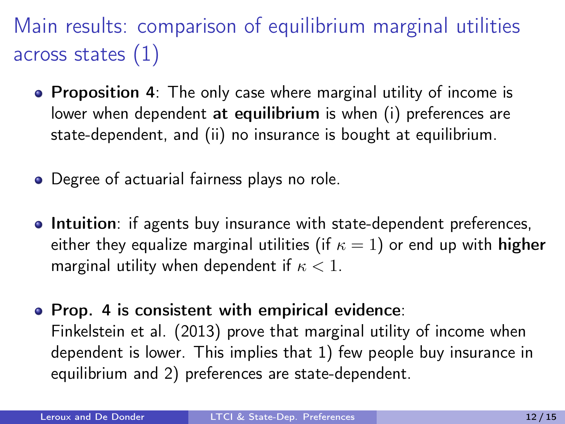Main results: comparison of equilibrium marginal utilities across states (1)

- Proposition 4: The only case where marginal utility of income is lower when dependent at equilibrium is when (i) preferences are state-dependent, and (ii) no insurance is bought at equilibrium.
- Degree of actuarial fairness plays no role.
- **Intuition**: if agents buy insurance with state-dependent preferences, either they equalize marginal utilities (if  $\kappa = 1$ ) or end up with **higher** marginal utility when dependent if  $\kappa < 1$ .
- Prop. 4 is consistent with empirical evidence: Finkelstein et al. (2013) prove that marginal utility of income when dependent is lower. This implies that 1) few people buy insurance in equilibrium and 2) preferences are state-dependent.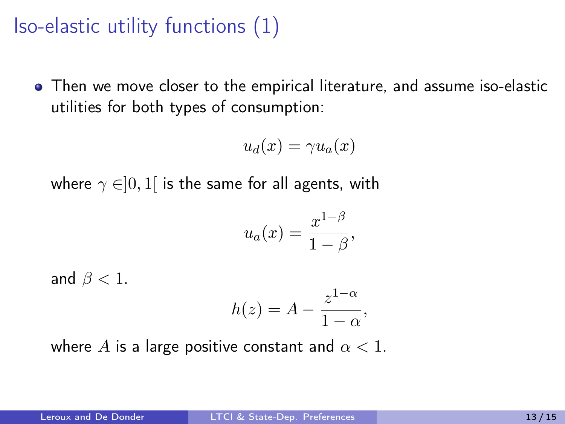Iso-elastic utility functions (1)

Then we move closer to the empirical literature, and assume iso-elastic utilities for both types of consumption:

$$
u_d(x) = \gamma u_a(x)
$$

where  $\gamma \in ]0,1[$  is the same for all agents, with

$$
u_a(x) = \frac{x^{1-\beta}}{1-\beta},
$$

and  $\beta < 1$ .

$$
h(z) = A - \frac{z^{1-\alpha}}{1-\alpha},
$$

where A is a large positive constant and  $\alpha < 1$ .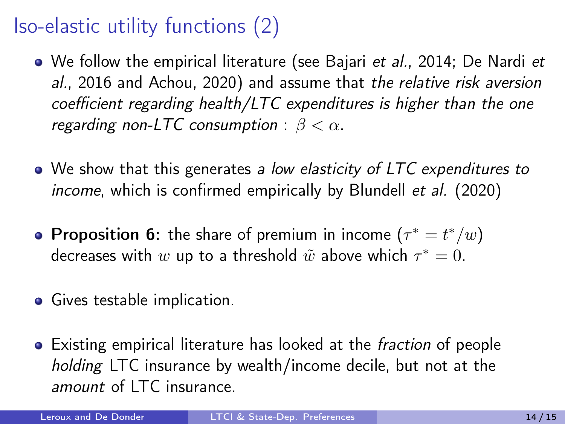## Iso-elastic utility functions (2)

- We follow the empirical literature (see Bajari *et al.*, 2014; De Nardi *et* al., 2016 and Achou, 2020) and assume that the relative risk aversion coefficient regarding health/LTC expenditures is higher than the one regarding non-LTC consumption :  $\beta < \alpha$ .
- We show that this generates a low elasticity of LTC expenditures to income, which is confirmed empirically by Blundell et al. (2020)
- **Proposition 6:** the share of premium in income  $(\tau^* = t^*/w)$ decreases with  $w$  up to a threshold  $\tilde{w}$  above which  $\tau^*=0.$
- Gives testable implication.
- **•** Existing empirical literature has looked at the *fraction* of people holding LTC insurance by wealth/income decile, but not at the amount of LTC insurance.